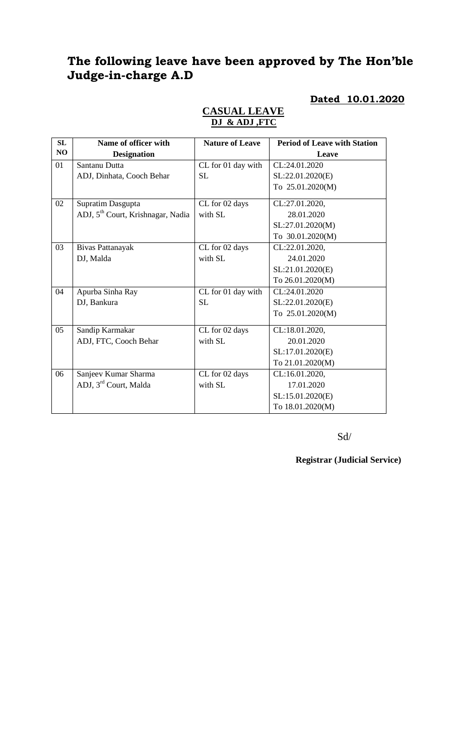# **The following leave have been approved by The Hon'ble Judge-in-charge A.D**

## **Dated 10.01.2020**

| SL             | Name of officer with                          | <b>Nature of Leave</b> | <b>Period of Leave with Station</b> |
|----------------|-----------------------------------------------|------------------------|-------------------------------------|
| N <sub>O</sub> | <b>Designation</b>                            |                        | Leave                               |
| 01             | Santanu Dutta                                 | CL for 01 day with     | CL:24.01.2020                       |
|                | ADJ, Dinhata, Cooch Behar                     | <b>SL</b>              | SL:22.01.2020(E)                    |
|                |                                               |                        | To 25.01.2020(M)                    |
| 02             | Supratim Dasgupta                             | CL for 02 days         | CL:27.01.2020,                      |
|                | ADJ, 5 <sup>th</sup> Court, Krishnagar, Nadia | with SL                | 28.01.2020                          |
|                |                                               |                        | SL:27.01.2020(M)                    |
|                |                                               |                        | To 30.01.2020(M)                    |
| 03             | Bivas Pattanayak                              | CL for 02 days         | CL:22.01.2020,                      |
|                | DJ, Malda                                     | with SL                | 24.01.2020                          |
|                |                                               |                        | SL:21.01.2020(E)                    |
|                |                                               |                        | To 26.01.2020(M)                    |
| 04             | Apurba Sinha Ray                              | CL for 01 day with     | CL:24.01.2020                       |
|                | DJ, Bankura                                   | <b>SL</b>              | SL:22.01.2020(E)                    |
|                |                                               |                        | To 25.01.2020(M)                    |
| 05             | Sandip Karmakar                               | CL for 02 days         | CL:18.01.2020,                      |
|                | ADJ, FTC, Cooch Behar                         | with SL                | 20.01.2020                          |
|                |                                               |                        | SL:17.01.2020(E)                    |
|                |                                               |                        | To 21.01.2020(M)                    |
| 06             | Sanjeev Kumar Sharma                          | CL for 02 days         | CL:16.01.2020,                      |
|                | ADJ, 3 <sup>rd</sup> Court, Malda             | with SL                | 17.01.2020                          |
|                |                                               |                        | SL:15.01.2020(E)                    |
|                |                                               |                        | To 18.01.2020(M)                    |

### **CASUAL LEAVE DJ & ADJ ,FTC**

Sd/

**Registrar (Judicial Service)**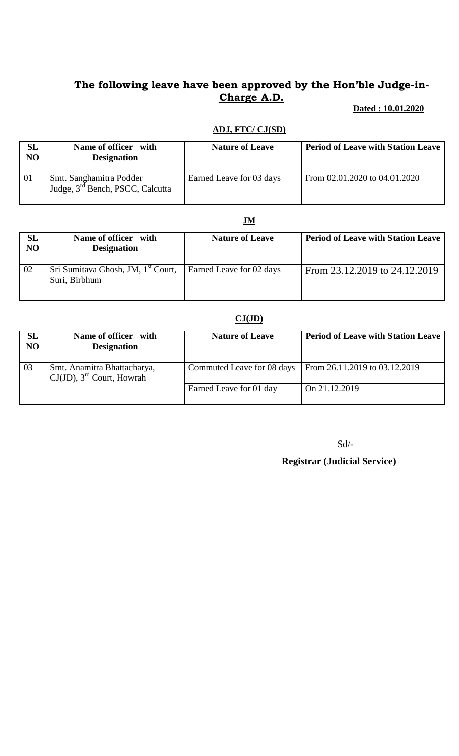## **The following leave have been approved by the Hon'ble Judge-in-Charge A.D.**

## **Dated : 10.01.2020**

#### **ADJ, FTC/ CJ(SD)**

| SL<br>NO | Name of officer with<br><b>Designation</b>                              | <b>Nature of Leave</b>   | <b>Period of Leave with Station Leave</b> |
|----------|-------------------------------------------------------------------------|--------------------------|-------------------------------------------|
| 01       | Smt. Sanghamitra Podder<br>Judge, 3 <sup>rd</sup> Bench, PSCC, Calcutta | Earned Leave for 03 days | From 02.01.2020 to 04.01.2020             |

#### **JM**

| SL<br>NO | Name of officer with<br><b>Designation</b>                      | <b>Nature of Leave</b>   | <b>Period of Leave with Station Leave</b> |
|----------|-----------------------------------------------------------------|--------------------------|-------------------------------------------|
| 02       | Sri Sumitava Ghosh, JM, 1 <sup>st</sup> Court,<br>Suri, Birbhum | Earned Leave for 02 days | From 23.12.2019 to 24.12.2019             |

#### **CJ(JD)**

| <b>SL</b><br>NO | Name of officer with<br><b>Designation</b>                              | <b>Nature of Leave</b>     | <b>Period of Leave with Station Leave</b> |
|-----------------|-------------------------------------------------------------------------|----------------------------|-------------------------------------------|
| 03              | Smt. Anamitra Bhattacharya,<br>$CJ(JD)$ , 3 <sup>rd</sup> Court, Howrah | Commuted Leave for 08 days | From 26.11.2019 to 03.12.2019             |
|                 |                                                                         | Earned Leave for 01 day    | On 21.12.2019                             |

Sd/-

 **Registrar (Judicial Service)**